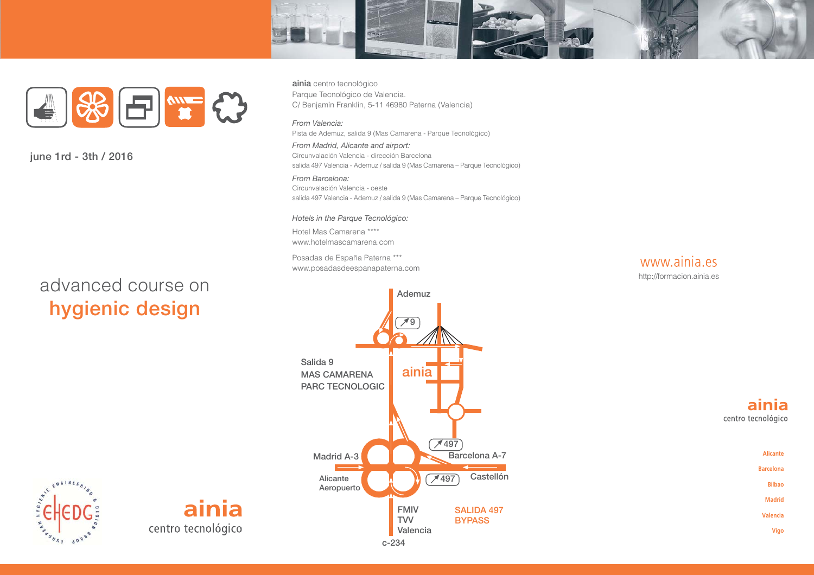



june 1rd - 3th / 2016

# advanced course on hygienic design

ainia centro tecnológico Parque Tecnológico de Valencia. C/ Benjamín Franklin, 5-11 46980 Paterna (Valencia)

#### From Valencia:

Pista de Ademuz, salida 9 (Mas Camarena - Parque Tecnológico)

From Madrid, Alicante and airport: Circunvalación Valencia - dirección Barcelona salida 497 Valencia - Ademuz / salida 9 (Mas Camarena - Parque Tecnológico)

From Barcelona: Circunvalación Valencia - oeste salida 497 Valencia - Ademuz / salida 9 (Mas Camarena - Parque Tecnológico)

#### Hotels in the Parque Tecnológico:

Hotel Mas Camarena \*\*\*\* www.hotelmascamarena.com

Posadas de España Paterna \*\*\* www.posadasdeespanapaterna.com



Ademuz  $\overline{19}$ Salida 9  $aini\overline{a}$ **MAS CAMARENA PARC TECNOLOGIC**  $7497$ Barcelona A-7 **Madrid A-3** Castellón  $\times$  497 Alicante Aeropuerto **FMIV SALIDA 497 TVV BYPASS** Valencia

# ENGINEE

ainia centro tecnológico

#### ainia centro tecnológico